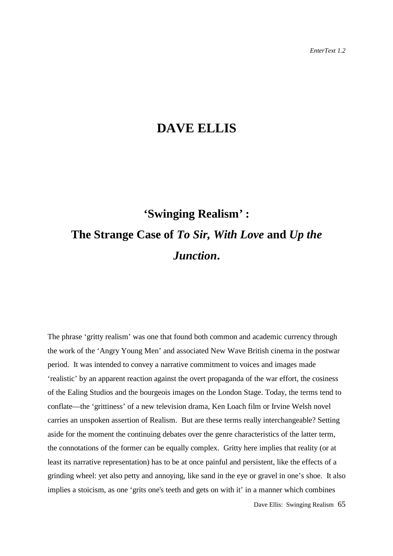## **DAVE ELLIS**

## **'Swinging Realism***'* **: The Strange Case of** *To Sir, With Love* **and** *Up the Junction***.**

The phrase 'gritty realism' was one that found both common and academic currency through the work of the 'Angry Young Men' and associated New Wave British cinema in the postwar period. It was intended to convey a narrative commitment to voices and images made 'realistic' by an apparent reaction against the overt propaganda of the war effort, the cosiness of the Ealing Studios and the bourgeois images on the London Stage. Today, the terms tend to conflate—the 'grittiness' of a new television drama, Ken Loach film or Irvine Welsh novel carries an unspoken assertion of Realism. But are these terms really interchangeable? Setting aside for the moment the continuing debates over the genre characteristics of the latter term, the connotations of the former can be equally complex. Gritty here implies that reality (or at least its narrative representation) has to be at once painful and persistent, like the effects of a grinding wheel: yet also petty and annoying, like sand in the eye or gravel in one's shoe. It also implies a stoicism, as one 'grits one's teeth and gets on with it' in a manner which combines

Dave Ellis: Swinging Realism 65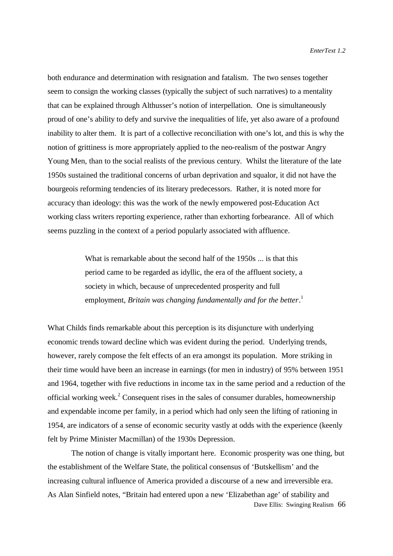both endurance and determination with resignation and fatalism. The two senses together seem to consign the working classes (typically the subject of such narratives) to a mentality that can be explained through Althusser's notion of interpellation. One is simultaneously proud of one's ability to defy and survive the inequalities of life, yet also aware of a profound inability to alter them. It is part of a collective reconciliation with one's lot, and this is why the notion of grittiness is more appropriately applied to the neo-realism of the postwar Angry Young Men, than to the social realists of the previous century. Whilst the literature of the late 1950s sustained the traditional concerns of urban deprivation and squalor, it did not have the bourgeois reforming tendencies of its literary predecessors. Rather, it is noted more for accuracy than ideology: this was the work of the newly empowered post-Education Act working class writers reporting experience, rather than exhorting forbearance. All of which seems puzzling in the context of a period popularly associated with affluence.

> What is remarkable about the second half of the 1950s ... is that this period came to be regarded as idyllic, the era of the affluent society, a society in which, because of unprecedented prosperity and full employment, *Britain was changing fundamentally and for the better*. 1

What Childs finds remarkable about this perception is its disjuncture with underlying economic trends toward decline which was evident during the period. Underlying trends, however, rarely compose the felt effects of an era amongst its population. More striking in their time would have been an increase in earnings (for men in industry) of 95% between 1951 and 1964, together with five reductions in income tax in the same period and a reduction of the official working week.<sup>2</sup> Consequent rises in the sales of consumer durables, homeownership and expendable income per family, in a period which had only seen the lifting of rationing in 1954, are indicators of a sense of economic security vastly at odds with the experience (keenly felt by Prime Minister Macmillan) of the 1930s Depression.

Dave Ellis: Swinging Realism 66 The notion of change is vitally important here. Economic prosperity was one thing, but the establishment of the Welfare State, the political consensus of 'Butskellism' and the increasing cultural influence of America provided a discourse of a new and irreversible era. As Alan Sinfield notes, "Britain had entered upon a new 'Elizabethan age' of stability and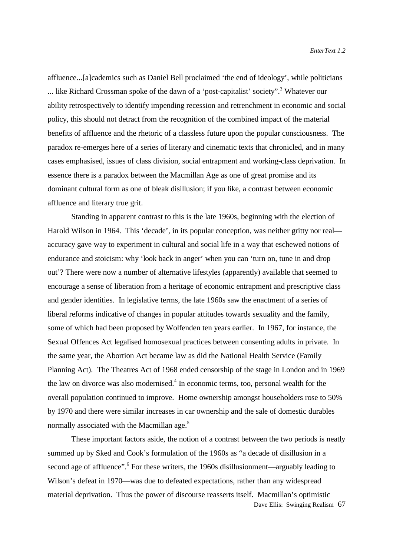affluence...[a]cademics such as Daniel Bell proclaimed 'the end of ideology', while politicians ... like Richard Crossman spoke of the dawn of a 'post-capitalist' society".<sup>3</sup> Whatever our ability retrospectively to identify impending recession and retrenchment in economic and social policy, this should not detract from the recognition of the combined impact of the material benefits of affluence and the rhetoric of a classless future upon the popular consciousness. The paradox re-emerges here of a series of literary and cinematic texts that chronicled, and in many cases emphasised, issues of class division, social entrapment and working-class deprivation. In essence there is a paradox between the Macmillan Age as one of great promise and its dominant cultural form as one of bleak disillusion; if you like, a contrast between economic affluence and literary true grit.

Standing in apparent contrast to this is the late 1960s, beginning with the election of Harold Wilson in 1964. This 'decade', in its popular conception, was neither gritty nor real accuracy gave way to experiment in cultural and social life in a way that eschewed notions of endurance and stoicism: why 'look back in anger' when you can 'turn on, tune in and drop out'? There were now a number of alternative lifestyles (apparently) available that seemed to encourage a sense of liberation from a heritage of economic entrapment and prescriptive class and gender identities. In legislative terms, the late 1960s saw the enactment of a series of liberal reforms indicative of changes in popular attitudes towards sexuality and the family, some of which had been proposed by Wolfenden ten years earlier. In 1967, for instance, the Sexual Offences Act legalised homosexual practices between consenting adults in private. In the same year, the Abortion Act became law as did the National Health Service (Family Planning Act). The Theatres Act of 1968 ended censorship of the stage in London and in 1969 the law on divorce was also modernised.<sup>4</sup> In economic terms, too, personal wealth for the overall population continued to improve. Home ownership amongst householders rose to 50% by 1970 and there were similar increases in car ownership and the sale of domestic durables normally associated with the Macmillan age.<sup>5</sup>

Dave Ellis: Swinging Realism 67 These important factors aside, the notion of a contrast between the two periods is neatly summed up by Sked and Cook's formulation of the 1960s as "a decade of disillusion in a second age of affluence". <sup>6</sup> For these writers, the 1960s disillusionment—arguably leading to Wilson's defeat in 1970—was due to defeated expectations, rather than any widespread material deprivation. Thus the power of discourse reasserts itself. Macmillan's optimistic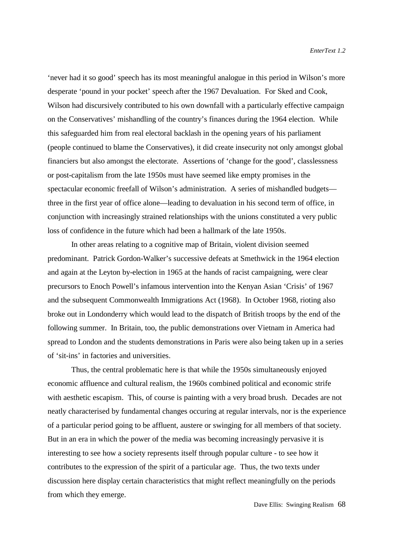'never had it so good' speech has its most meaningful analogue in this period in Wilson's more desperate 'pound in your pocket' speech after the 1967 Devaluation. For Sked and Cook, Wilson had discursively contributed to his own downfall with a particularly effective campaign on the Conservatives' mishandling of the country's finances during the 1964 election. While this safeguarded him from real electoral backlash in the opening years of his parliament (people continued to blame the Conservatives), it did create insecurity not only amongst global financiers but also amongst the electorate. Assertions of 'change for the good', classlessness or post-capitalism from the late 1950s must have seemed like empty promises in the spectacular economic freefall of Wilson's administration. A series of mishandled budgets three in the first year of office alone—leading to devaluation in his second term of office, in conjunction with increasingly strained relationships with the unions constituted a very public loss of confidence in the future which had been a hallmark of the late 1950s.

In other areas relating to a cognitive map of Britain, violent division seemed predominant. Patrick Gordon-Walker's successive defeats at Smethwick in the 1964 election and again at the Leyton by-election in 1965 at the hands of racist campaigning, were clear precursors to Enoch Powell's infamous intervention into the Kenyan Asian 'Crisis' of 1967 and the subsequent Commonwealth Immigrations Act (1968). In October 1968, rioting also broke out in Londonderry which would lead to the dispatch of British troops by the end of the following summer. In Britain, too, the public demonstrations over Vietnam in America had spread to London and the students demonstrations in Paris were also being taken up in a series of 'sit-ins' in factories and universities.

Thus, the central problematic here is that while the 1950s simultaneously enjoyed economic affluence and cultural realism, the 1960s combined political and economic strife with aesthetic escapism. This, of course is painting with a very broad brush. Decades are not neatly characterised by fundamental changes occuring at regular intervals, nor is the experience of a particular period going to be affluent, austere or swinging for all members of that society. But in an era in which the power of the media was becoming increasingly pervasive it is interesting to see how a society represents itself through popular culture - to see how it contributes to the expression of the spirit of a particular age. Thus, the two texts under discussion here display certain characteristics that might reflect meaningfully on the periods from which they emerge.

Dave Ellis: Swinging Realism 68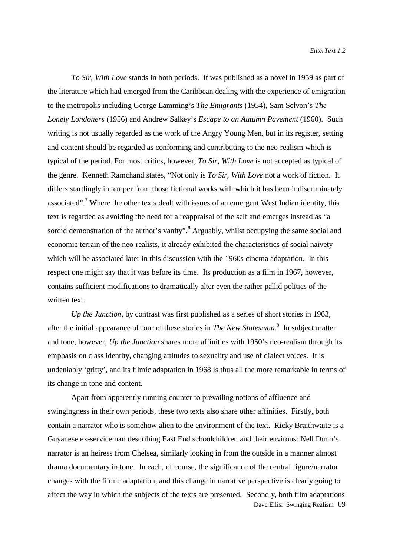*To Sir, With Love* stands in both periods. It was published as a novel in 1959 as part of the literature which had emerged from the Caribbean dealing with the experience of emigration to the metropolis including George Lamming's *The Emigrants* (1954), Sam Selvon's *The Lonely Londoners* (1956) and Andrew Salkey's *Escape to an Autumn Pavement* (1960). Such writing is not usually regarded as the work of the Angry Young Men, but in its register, setting and content should be regarded as conforming and contributing to the neo-realism which is typical of the period. For most critics, however, *To Sir, With Love* is not accepted as typical of the genre. Kenneth Ramchand states, "Not only is *To Sir, With Love* not a work of fiction. It differs startlingly in temper from those fictional works with which it has been indiscriminately associated".<sup>7</sup> Where the other texts dealt with issues of an emergent West Indian identity, this text is regarded as avoiding the need for a reappraisal of the self and emerges instead as "a sordid demonstration of the author's vanity".<sup>8</sup> Arguably, whilst occupying the same social and economic terrain of the neo-realists, it already exhibited the characteristics of social naivety which will be associated later in this discussion with the 1960s cinema adaptation. In this respect one might say that it was before its time. Its production as a film in 1967, however, contains sufficient modifications to dramatically alter even the rather pallid politics of the written text.

*Up the Junction*, by contrast was first published as a series of short stories in 1963, after the initial appearance of four of these stories in *The New Statesman*. 9 In subject matter and tone, however, *Up the Junction* shares more affinities with 1950's neo-realism through its emphasis on class identity, changing attitudes to sexuality and use of dialect voices. It is undeniably 'gritty', and its filmic adaptation in 1968 is thus all the more remarkable in terms of its change in tone and content.

Dave Ellis: Swinging Realism 69 Apart from apparently running counter to prevailing notions of affluence and swingingness in their own periods, these two texts also share other affinities. Firstly, both contain a narrator who is somehow alien to the environment of the text. Ricky Braithwaite is a Guyanese ex-serviceman describing East End schoolchildren and their environs: Nell Dunn's narrator is an heiress from Chelsea, similarly looking in from the outside in a manner almost drama documentary in tone. In each, of course, the significance of the central figure/narrator changes with the filmic adaptation, and this change in narrative perspective is clearly going to affect the way in which the subjects of the texts are presented. Secondly, both film adaptations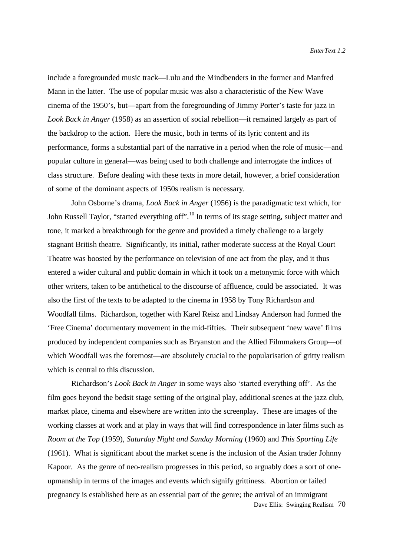include a foregrounded music track—Lulu and the Mindbenders in the former and Manfred Mann in the latter. The use of popular music was also a characteristic of the New Wave cinema of the 1950's, but—apart from the foregrounding of Jimmy Porter's taste for jazz in *Look Back in Anger* (1958) as an assertion of social rebellion—it remained largely as part of the backdrop to the action. Here the music, both in terms of its lyric content and its performance, forms a substantial part of the narrative in a period when the role of music—and popular culture in general—was being used to both challenge and interrogate the indices of class structure. Before dealing with these texts in more detail, however, a brief consideration of some of the dominant aspects of 1950s realism is necessary.

John Osborne's drama, *Look Back in Anger* (1956) is the paradigmatic text which, for John Russell Taylor, "started everything off".<sup>10</sup> In terms of its stage setting, subject matter and tone, it marked a breakthrough for the genre and provided a timely challenge to a largely stagnant British theatre. Significantly, its initial, rather moderate success at the Royal Court Theatre was boosted by the performance on television of one act from the play, and it thus entered a wider cultural and public domain in which it took on a metonymic force with which other writers, taken to be antithetical to the discourse of affluence, could be associated. It was also the first of the texts to be adapted to the cinema in 1958 by Tony Richardson and Woodfall films. Richardson, together with Karel Reisz and Lindsay Anderson had formed the 'Free Cinema' documentary movement in the mid-fifties. Their subsequent 'new wave' films produced by independent companies such as Bryanston and the Allied Filmmakers Group—of which Woodfall was the foremost—are absolutely crucial to the popularisation of gritty realism which is central to this discussion.

Dave Ellis: Swinging Realism 70 Richardson's *Look Back in Anger* in some ways also 'started everything off'. As the film goes beyond the bedsit stage setting of the original play, additional scenes at the jazz club, market place, cinema and elsewhere are written into the screenplay. These are images of the working classes at work and at play in ways that will find correspondence in later films such as *Room at the Top* (1959), *Saturday Night and Sunday Morning* (1960) and *This Sporting Life* (1961). What is significant about the market scene is the inclusion of the Asian trader Johnny Kapoor. As the genre of neo-realism progresses in this period, so arguably does a sort of oneupmanship in terms of the images and events which signify grittiness. Abortion or failed pregnancy is established here as an essential part of the genre; the arrival of an immigrant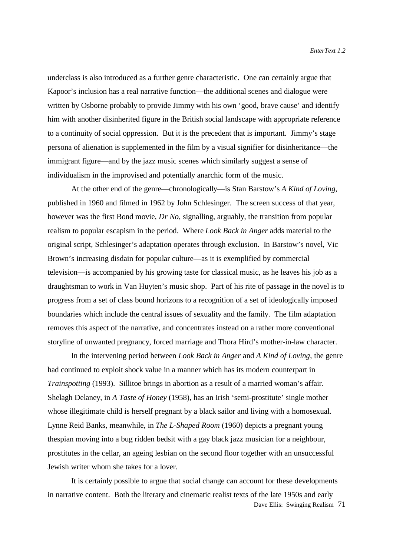underclass is also introduced as a further genre characteristic. One can certainly argue that Kapoor's inclusion has a real narrative function—the additional scenes and dialogue were written by Osborne probably to provide Jimmy with his own 'good, brave cause' and identify him with another disinherited figure in the British social landscape with appropriate reference to a continuity of social oppression. But it is the precedent that is important. Jimmy's stage persona of alienation is supplemented in the film by a visual signifier for disinheritance—the immigrant figure—and by the jazz music scenes which similarly suggest a sense of individualism in the improvised and potentially anarchic form of the music.

At the other end of the genre—chronologically—is Stan Barstow's *A Kind of Loving*, published in 1960 and filmed in 1962 by John Schlesinger. The screen success of that year, however was the first Bond movie, *Dr No*, signalling, arguably, the transition from popular realism to popular escapism in the period. Where *Look Back in Anger* adds material to the original script, Schlesinger's adaptation operates through exclusion. In Barstow's novel, Vic Brown's increasing disdain for popular culture—as it is exemplified by commercial television—is accompanied by his growing taste for classical music, as he leaves his job as a draughtsman to work in Van Huyten's music shop. Part of his rite of passage in the novel is to progress from a set of class bound horizons to a recognition of a set of ideologically imposed boundaries which include the central issues of sexuality and the family. The film adaptation removes this aspect of the narrative, and concentrates instead on a rather more conventional storyline of unwanted pregnancy, forced marriage and Thora Hird's mother-in-law character.

In the intervening period between *Look Back in Anger* and *A Kind of Loving*, the genre had continued to exploit shock value in a manner which has its modern counterpart in *Trainspotting* (1993). Sillitoe brings in abortion as a result of a married woman's affair. Shelagh Delaney, in *A Taste of Honey* (1958), has an Irish 'semi-prostitute' single mother whose illegitimate child is herself pregnant by a black sailor and living with a homosexual. Lynne Reid Banks, meanwhile, in *The L-Shaped Room* (1960) depicts a pregnant young thespian moving into a bug ridden bedsit with a gay black jazz musician for a neighbour, prostitutes in the cellar, an ageing lesbian on the second floor together with an unsuccessful Jewish writer whom she takes for a lover.

Dave Ellis: Swinging Realism 71 It is certainly possible to argue that social change can account for these developments in narrative content. Both the literary and cinematic realist texts of the late 1950s and early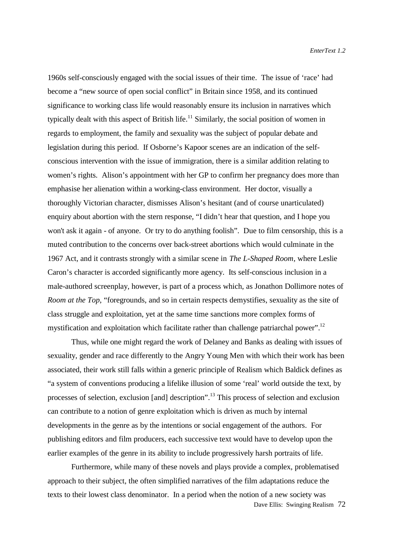1960s self-consciously engaged with the social issues of their time. The issue of 'race' had become a "new source of open social conflict" in Britain since 1958, and its continued significance to working class life would reasonably ensure its inclusion in narratives which typically dealt with this aspect of British life.<sup>11</sup> Similarly, the social position of women in regards to employment, the family and sexuality was the subject of popular debate and legislation during this period. If Osborne's Kapoor scenes are an indication of the selfconscious intervention with the issue of immigration, there is a similar addition relating to women's rights. Alison's appointment with her GP to confirm her pregnancy does more than emphasise her alienation within a working-class environment. Her doctor, visually a thoroughly Victorian character, dismisses Alison's hesitant (and of course unarticulated) enquiry about abortion with the stern response, "I didn't hear that question, and I hope you won't ask it again - of anyone. Or try to do anything foolish". Due to film censorship, this is a muted contribution to the concerns over back-street abortions which would culminate in the 1967 Act, and it contrasts strongly with a similar scene in *The L-Shaped Room*, where Leslie Caron's character is accorded significantly more agency. Its self-conscious inclusion in a male-authored screenplay, however, is part of a process which, as Jonathon Dollimore notes of *Room at the Top*, "foregrounds, and so in certain respects demystifies, sexuality as the site of class struggle and exploitation, yet at the same time sanctions more complex forms of mystification and exploitation which facilitate rather than challenge patriarchal power".<sup>12</sup>

Thus, while one might regard the work of Delaney and Banks as dealing with issues of sexuality, gender and race differently to the Angry Young Men with which their work has been associated, their work still falls within a generic principle of Realism which Baldick defines as "a system of conventions producing a lifelike illusion of some 'real' world outside the text, by processes of selection, exclusion [and] description".13 This process of selection and exclusion can contribute to a notion of genre exploitation which is driven as much by internal developments in the genre as by the intentions or social engagement of the authors. For publishing editors and film producers, each successive text would have to develop upon the earlier examples of the genre in its ability to include progressively harsh portraits of life.

Furthermore, while many of these novels and plays provide a complex, problematised approach to their subject, the often simplified narratives of the film adaptations reduce the texts to their lowest class denominator. In a period when the notion of a new society was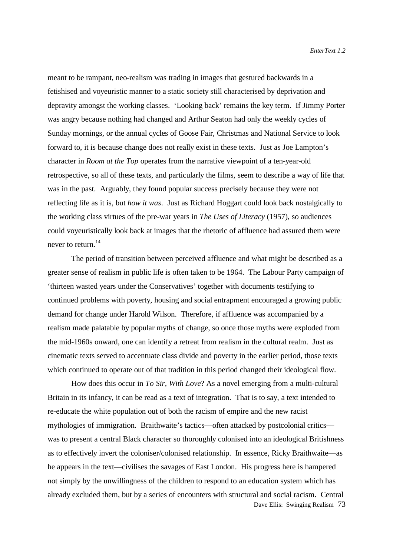meant to be rampant, neo-realism was trading in images that gestured backwards in a fetishised and voyeuristic manner to a static society still characterised by deprivation and depravity amongst the working classes. 'Looking back' remains the key term. If Jimmy Porter was angry because nothing had changed and Arthur Seaton had only the weekly cycles of Sunday mornings, or the annual cycles of Goose Fair, Christmas and National Service to look forward to, it is because change does not really exist in these texts. Just as Joe Lampton's character in *Room at the Top* operates from the narrative viewpoint of a ten-year-old retrospective, so all of these texts, and particularly the films, seem to describe a way of life that was in the past. Arguably, they found popular success precisely because they were not reflecting life as it is, but *how it was*. Just as Richard Hoggart could look back nostalgically to the working class virtues of the pre-war years in *The Uses of Literacy* (1957), so audiences could voyeuristically look back at images that the rhetoric of affluence had assured them were never to return. $14$ 

The period of transition between perceived affluence and what might be described as a greater sense of realism in public life is often taken to be 1964. The Labour Party campaign of 'thirteen wasted years under the Conservatives' together with documents testifying to continued problems with poverty, housing and social entrapment encouraged a growing public demand for change under Harold Wilson. Therefore, if affluence was accompanied by a realism made palatable by popular myths of change, so once those myths were exploded from the mid-1960s onward, one can identify a retreat from realism in the cultural realm. Just as cinematic texts served to accentuate class divide and poverty in the earlier period, those texts which continued to operate out of that tradition in this period changed their ideological flow.

Dave Ellis: Swinging Realism 73 How does this occur in *To Sir, With Love*? As a novel emerging from a multi-cultural Britain in its infancy, it can be read as a text of integration. That is to say, a text intended to re-educate the white population out of both the racism of empire and the new racist mythologies of immigration. Braithwaite's tactics—often attacked by postcolonial critics was to present a central Black character so thoroughly colonised into an ideological Britishness as to effectively invert the coloniser/colonised relationship. In essence, Ricky Braithwaite—as he appears in the text—civilises the savages of East London. His progress here is hampered not simply by the unwillingness of the children to respond to an education system which has already excluded them, but by a series of encounters with structural and social racism. Central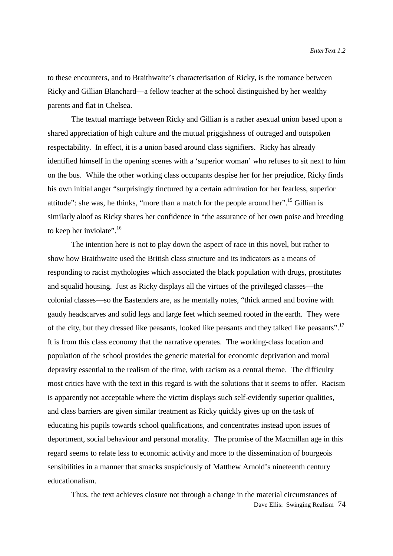to these encounters, and to Braithwaite's characterisation of Ricky, is the romance between Ricky and Gillian Blanchard—a fellow teacher at the school distinguished by her wealthy parents and flat in Chelsea.

The textual marriage between Ricky and Gillian is a rather asexual union based upon a shared appreciation of high culture and the mutual priggishness of outraged and outspoken respectability. In effect, it is a union based around class signifiers. Ricky has already identified himself in the opening scenes with a 'superior woman' who refuses to sit next to him on the bus. While the other working class occupants despise her for her prejudice, Ricky finds his own initial anger "surprisingly tinctured by a certain admiration for her fearless, superior attitude": she was, he thinks, "more than a match for the people around her".<sup>15</sup> Gillian is similarly aloof as Ricky shares her confidence in "the assurance of her own poise and breeding to keep her inviolate". $16$ 

The intention here is not to play down the aspect of race in this novel, but rather to show how Braithwaite used the British class structure and its indicators as a means of responding to racist mythologies which associated the black population with drugs, prostitutes and squalid housing. Just as Ricky displays all the virtues of the privileged classes—the colonial classes—so the Eastenders are, as he mentally notes, "thick armed and bovine with gaudy headscarves and solid legs and large feet which seemed rooted in the earth. They were of the city, but they dressed like peasants, looked like peasants and they talked like peasants".<sup>17</sup> It is from this class economy that the narrative operates. The working-class location and population of the school provides the generic material for economic deprivation and moral depravity essential to the realism of the time, with racism as a central theme. The difficulty most critics have with the text in this regard is with the solutions that it seems to offer. Racism is apparently not acceptable where the victim displays such self-evidently superior qualities, and class barriers are given similar treatment as Ricky quickly gives up on the task of educating his pupils towards school qualifications, and concentrates instead upon issues of deportment, social behaviour and personal morality. The promise of the Macmillan age in this regard seems to relate less to economic activity and more to the dissemination of bourgeois sensibilities in a manner that smacks suspiciously of Matthew Arnold's nineteenth century educationalism.

Dave Ellis: Swinging Realism 74 Thus, the text achieves closure not through a change in the material circumstances of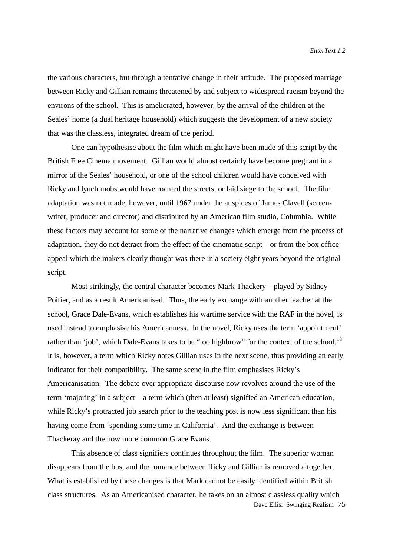the various characters, but through a tentative change in their attitude. The proposed marriage between Ricky and Gillian remains threatened by and subject to widespread racism beyond the environs of the school. This is ameliorated, however, by the arrival of the children at the Seales' home (a dual heritage household) which suggests the development of a new society that was the classless, integrated dream of the period.

One can hypothesise about the film which might have been made of this script by the British Free Cinema movement. Gillian would almost certainly have become pregnant in a mirror of the Seales' household, or one of the school children would have conceived with Ricky and lynch mobs would have roamed the streets, or laid siege to the school. The film adaptation was not made, however, until 1967 under the auspices of James Clavell (screenwriter, producer and director) and distributed by an American film studio, Columbia. While these factors may account for some of the narrative changes which emerge from the process of adaptation, they do not detract from the effect of the cinematic script—or from the box office appeal which the makers clearly thought was there in a society eight years beyond the original script.

Most strikingly, the central character becomes Mark Thackery—played by Sidney Poitier, and as a result Americanised. Thus, the early exchange with another teacher at the school, Grace Dale-Evans, which establishes his wartime service with the RAF in the novel, is used instead to emphasise his Americanness. In the novel, Ricky uses the term 'appointment' rather than 'job', which Dale-Evans takes to be "too highbrow" for the context of the school.<sup>18</sup> It is, however, a term which Ricky notes Gillian uses in the next scene, thus providing an early indicator for their compatibility. The same scene in the film emphasises Ricky's Americanisation. The debate over appropriate discourse now revolves around the use of the term 'majoring' in a subject—a term which (then at least) signified an American education, while Ricky's protracted job search prior to the teaching post is now less significant than his having come from 'spending some time in California'. And the exchange is between Thackeray and the now more common Grace Evans.

Dave Ellis: Swinging Realism 75 This absence of class signifiers continues throughout the film. The superior woman disappears from the bus, and the romance between Ricky and Gillian is removed altogether. What is established by these changes is that Mark cannot be easily identified within British class structures. As an Americanised character, he takes on an almost classless quality which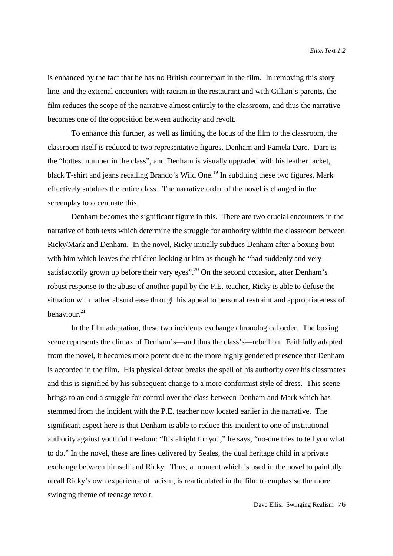is enhanced by the fact that he has no British counterpart in the film. In removing this story line, and the external encounters with racism in the restaurant and with Gillian's parents, the film reduces the scope of the narrative almost entirely to the classroom, and thus the narrative becomes one of the opposition between authority and revolt.

To enhance this further, as well as limiting the focus of the film to the classroom, the classroom itself is reduced to two representative figures, Denham and Pamela Dare. Dare is the "hottest number in the class", and Denham is visually upgraded with his leather jacket, black T-shirt and jeans recalling Brando's Wild One.<sup>19</sup> In subduing these two figures, Mark effectively subdues the entire class. The narrative order of the novel is changed in the screenplay to accentuate this.

Denham becomes the significant figure in this. There are two crucial encounters in the narrative of both texts which determine the struggle for authority within the classroom between Ricky/Mark and Denham. In the novel, Ricky initially subdues Denham after a boxing bout with him which leaves the children looking at him as though he "had suddenly and very satisfactorily grown up before their very eyes".<sup>20</sup> On the second occasion, after Denham's robust response to the abuse of another pupil by the P.E. teacher, Ricky is able to defuse the situation with rather absurd ease through his appeal to personal restraint and appropriateness of behaviour. $21$ 

In the film adaptation, these two incidents exchange chronological order. The boxing scene represents the climax of Denham's—and thus the class's—rebellion. Faithfully adapted from the novel, it becomes more potent due to the more highly gendered presence that Denham is accorded in the film. His physical defeat breaks the spell of his authority over his classmates and this is signified by his subsequent change to a more conformist style of dress. This scene brings to an end a struggle for control over the class between Denham and Mark which has stemmed from the incident with the P.E. teacher now located earlier in the narrative. The significant aspect here is that Denham is able to reduce this incident to one of institutional authority against youthful freedom: "It's alright for you," he says, "no-one tries to tell you what to do." In the novel, these are lines delivered by Seales, the dual heritage child in a private exchange between himself and Ricky. Thus, a moment which is used in the novel to painfully recall Ricky's own experience of racism, is rearticulated in the film to emphasise the more swinging theme of teenage revolt.

Dave Ellis: Swinging Realism 76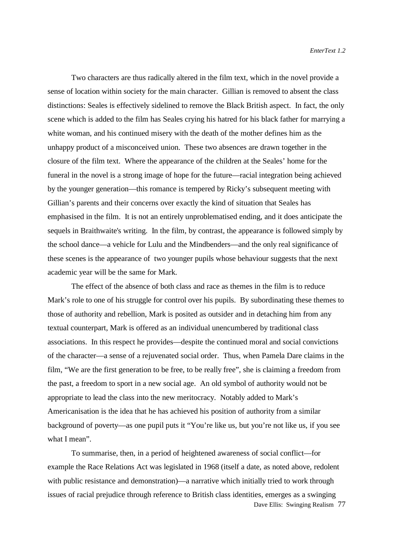Two characters are thus radically altered in the film text, which in the novel provide a sense of location within society for the main character. Gillian is removed to absent the class distinctions: Seales is effectively sidelined to remove the Black British aspect. In fact, the only scene which is added to the film has Seales crying his hatred for his black father for marrying a white woman, and his continued misery with the death of the mother defines him as the unhappy product of a misconceived union. These two absences are drawn together in the closure of the film text. Where the appearance of the children at the Seales' home for the funeral in the novel is a strong image of hope for the future—racial integration being achieved by the younger generation—this romance is tempered by Ricky's subsequent meeting with Gillian's parents and their concerns over exactly the kind of situation that Seales has emphasised in the film. It is not an entirely unproblematised ending, and it does anticipate the sequels in Braithwaite's writing. In the film, by contrast, the appearance is followed simply by the school dance—a vehicle for Lulu and the Mindbenders—and the only real significance of these scenes is the appearance of two younger pupils whose behaviour suggests that the next academic year will be the same for Mark.

The effect of the absence of both class and race as themes in the film is to reduce Mark's role to one of his struggle for control over his pupils. By subordinating these themes to those of authority and rebellion, Mark is posited as outsider and in detaching him from any textual counterpart, Mark is offered as an individual unencumbered by traditional class associations. In this respect he provides—despite the continued moral and social convictions of the character—a sense of a rejuvenated social order. Thus, when Pamela Dare claims in the film, "We are the first generation to be free, to be really free", she is claiming a freedom from the past, a freedom to sport in a new social age. An old symbol of authority would not be appropriate to lead the class into the new meritocracy. Notably added to Mark's Americanisation is the idea that he has achieved his position of authority from a similar background of poverty—as one pupil puts it "You're like us, but you're not like us, if you see what I mean".

Dave Ellis: Swinging Realism 77 To summarise, then, in a period of heightened awareness of social conflict—for example the Race Relations Act was legislated in 1968 (itself a date, as noted above, redolent with public resistance and demonstration)—a narrative which initially tried to work through issues of racial prejudice through reference to British class identities, emerges as a swinging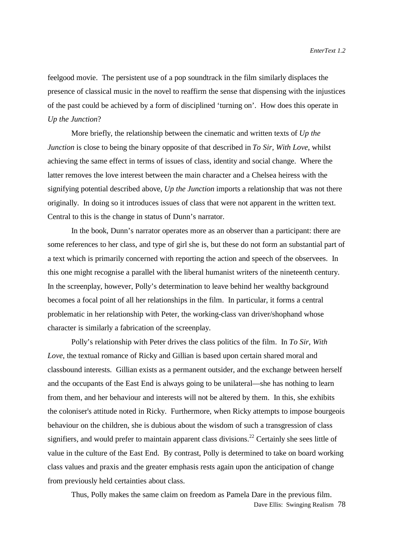feelgood movie. The persistent use of a pop soundtrack in the film similarly displaces the presence of classical music in the novel to reaffirm the sense that dispensing with the injustices of the past could be achieved by a form of disciplined 'turning on'. How does this operate in *Up the Junction*?

More briefly, the relationship between the cinematic and written texts of *Up the Junction* is close to being the binary opposite of that described in *To Sir, With Love*, whilst achieving the same effect in terms of issues of class, identity and social change. Where the latter removes the love interest between the main character and a Chelsea heiress with the signifying potential described above, *Up the Junction* imports a relationship that was not there originally. In doing so it introduces issues of class that were not apparent in the written text. Central to this is the change in status of Dunn's narrator.

In the book, Dunn's narrator operates more as an observer than a participant: there are some references to her class, and type of girl she is, but these do not form an substantial part of a text which is primarily concerned with reporting the action and speech of the observees. In this one might recognise a parallel with the liberal humanist writers of the nineteenth century. In the screenplay, however, Polly's determination to leave behind her wealthy background becomes a focal point of all her relationships in the film. In particular, it forms a central problematic in her relationship with Peter, the working-class van driver/shophand whose character is similarly a fabrication of the screenplay.

Polly's relationship with Peter drives the class politics of the film. In *To Sir, With Love*, the textual romance of Ricky and Gillian is based upon certain shared moral and classbound interests. Gillian exists as a permanent outsider, and the exchange between herself and the occupants of the East End is always going to be unilateral—she has nothing to learn from them, and her behaviour and interests will not be altered by them. In this, she exhibits the coloniser's attitude noted in Ricky. Furthermore, when Ricky attempts to impose bourgeois behaviour on the children, she is dubious about the wisdom of such a transgression of class signifiers, and would prefer to maintain apparent class divisions.<sup>22</sup> Certainly she sees little of value in the culture of the East End. By contrast, Polly is determined to take on board working class values and praxis and the greater emphasis rests again upon the anticipation of change from previously held certainties about class.

Dave Ellis: Swinging Realism 78 Thus, Polly makes the same claim on freedom as Pamela Dare in the previous film.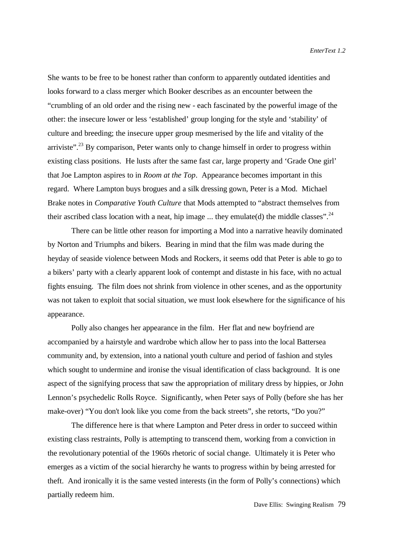She wants to be free to be honest rather than conform to apparently outdated identities and looks forward to a class merger which Booker describes as an encounter between the "crumbling of an old order and the rising new - each fascinated by the powerful image of the other: the insecure lower or less 'established' group longing for the style and 'stability' of culture and breeding; the insecure upper group mesmerised by the life and vitality of the arriviste".<sup>23</sup> By comparison, Peter wants only to change himself in order to progress within existing class positions. He lusts after the same fast car, large property and 'Grade One girl' that Joe Lampton aspires to in *Room at the Top*. Appearance becomes important in this regard. Where Lampton buys brogues and a silk dressing gown, Peter is a Mod. Michael Brake notes in *Comparative Youth Culture* that Mods attempted to "abstract themselves from their ascribed class location with a neat, hip image  $\dots$  they emulate(d) the middle classes".<sup>24</sup>

There can be little other reason for importing a Mod into a narrative heavily dominated by Norton and Triumphs and bikers. Bearing in mind that the film was made during the heyday of seaside violence between Mods and Rockers, it seems odd that Peter is able to go to a bikers' party with a clearly apparent look of contempt and distaste in his face, with no actual fights ensuing. The film does not shrink from violence in other scenes, and as the opportunity was not taken to exploit that social situation, we must look elsewhere for the significance of his appearance.

Polly also changes her appearance in the film. Her flat and new boyfriend are accompanied by a hairstyle and wardrobe which allow her to pass into the local Battersea community and, by extension, into a national youth culture and period of fashion and styles which sought to undermine and ironise the visual identification of class background. It is one aspect of the signifying process that saw the appropriation of military dress by hippies, or John Lennon's psychedelic Rolls Royce. Significantly, when Peter says of Polly (before she has her make-over) "You don't look like you come from the back streets", she retorts, "Do you?"

The difference here is that where Lampton and Peter dress in order to succeed within existing class restraints, Polly is attempting to transcend them, working from a conviction in the revolutionary potential of the 1960s rhetoric of social change. Ultimately it is Peter who emerges as a victim of the social hierarchy he wants to progress within by being arrested for theft. And ironically it is the same vested interests (in the form of Polly's connections) which partially redeem him.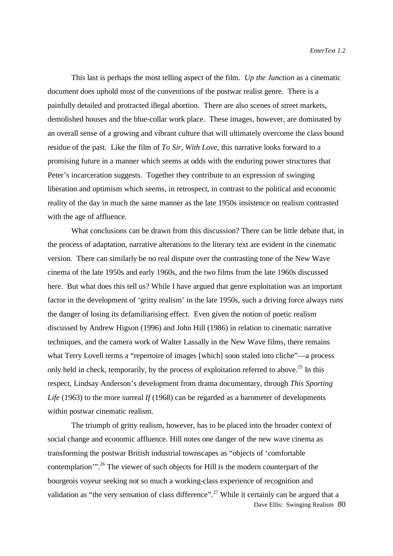This last is perhaps the most telling aspect of the film. *Up the Junction* as a cinematic document does uphold most of the conventions of the postwar realist genre. There is a painfully detailed and protracted illegal abortion. There are also scenes of street markets, demolished houses and the blue-collar work place. These images, however, are dominated by an overall sense of a growing and vibrant culture that will ultimately overcome the class bound residue of the past. Like the film of *To Sir, With Love*, this narrative looks forward to a promising future in a manner which seems at odds with the enduring power structures that Peter's incarceration suggests. Together they contribute to an expression of swinging liberation and optimism which seems, in retrospect, in contrast to the political and economic reality of the day in much the same manner as the late 1950s insistence on realism contrasted with the age of affluence.

What conclusions can be drawn from this discussion? There can be little debate that, in the process of adaptation, narrative alterations to the literary text are evident in the cinematic version. There can similarly be no real dispute over the contrasting tone of the New Wave cinema of the late 1950s and early 1960s, and the two films from the late 1960s discussed here. But what does this tell us? While I have argued that genre exploitation was an important factor in the development of 'gritty realism' in the late 1950s, such a driving force always runs the danger of losing its defamiliarising effect. Even given the notion of poetic realism discussed by Andrew Higson (1996) and John Hill (1986) in relation to cinematic narrative techniques, and the camera work of Walter Lassally in the New Wave films, there remains what Terry Lovell terms a "repertoire of images [which] soon staled into cliche"—a process only held in check, temporarily, by the process of exploitation referred to above.<sup>25</sup> In this respect, Lindsay Anderson's development from drama documentary, through *This Sporting Life* (1963) to the more surreal *If* (1968) can be regarded as a barometer of developments within postwar cinematic realism.

Dave Ellis: Swinging Realism 80 The triumph of gritty realism, however, has to be placed into the broader context of social change and economic affluence. Hill notes one danger of the new wave cinema as transforming the postwar British industrial townscapes as "objects of 'comfortable contemplation".<sup>26</sup> The viewer of such objects for Hill is the modern counterpart of the bourgeois voyeur seeking not so much a working-class experience of recognition and validation as "the very sensation of class difference".<sup>27</sup> While it certainly can be argued that a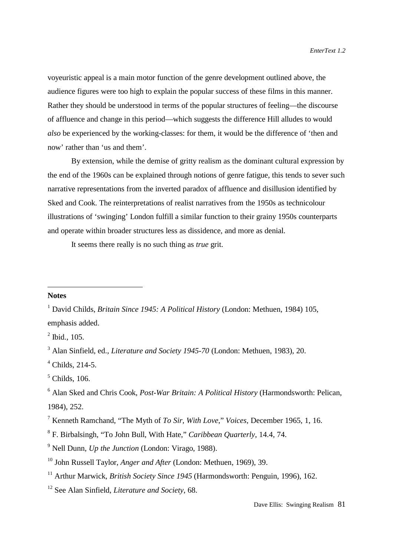voyeuristic appeal is a main motor function of the genre development outlined above, the audience figures were too high to explain the popular success of these films in this manner. Rather they should be understood in terms of the popular structures of feeling—the discourse of affluence and change in this period—which suggests the difference Hill alludes to would *also* be experienced by the working-classes: for them, it would be the difference of 'then and now' rather than 'us and them'.

By extension, while the demise of gritty realism as the dominant cultural expression by the end of the 1960s can be explained through notions of genre fatigue, this tends to sever such narrative representations from the inverted paradox of affluence and disillusion identified by Sked and Cook. The reinterpretations of realist narratives from the 1950s as technicolour illustrations of 'swinging' London fulfill a similar function to their grainy 1950s counterparts and operate within broader structures less as dissidence, and more as denial.

It seems there really is no such thing as *true* grit.

## **Notes**

<sup>&</sup>lt;sup>1</sup> David Childs, *Britain Since 1945: A Political History* (London: Methuen, 1984) 105, emphasis added.

 $2^2$  Ibid., 105.

<sup>3</sup> Alan Sinfield, ed., *Literature and Society 1945-70* (London: Methuen, 1983), 20.

 $<sup>4</sup>$  Childs, 214-5.</sup>

 $<sup>5</sup>$  Childs, 106.</sup>

<sup>6</sup> Alan Sked and Chris Cook, *Post-War Britain: A Political History* (Harmondsworth: Pelican, 1984), 252.

<sup>7</sup> Kenneth Ramchand, "The Myth of *To Sir, With Love*," *Voices*, December 1965, 1, 16.

<sup>8</sup> F. Birbalsingh, "To John Bull, With Hate," *Caribbean Quarterly*, 14.4, 74.

<sup>9</sup> Nell Dunn, *Up the Junction* (London: Virago, 1988).

<sup>10</sup> John Russell Taylor, *Anger and After* (London: Methuen, 1969), 39.

<sup>&</sup>lt;sup>11</sup> Arthur Marwick, *British Society Since 1945* (Harmondsworth: Penguin, 1996), 162.

<sup>12</sup> See Alan Sinfield, *Literature and Society*, 68.